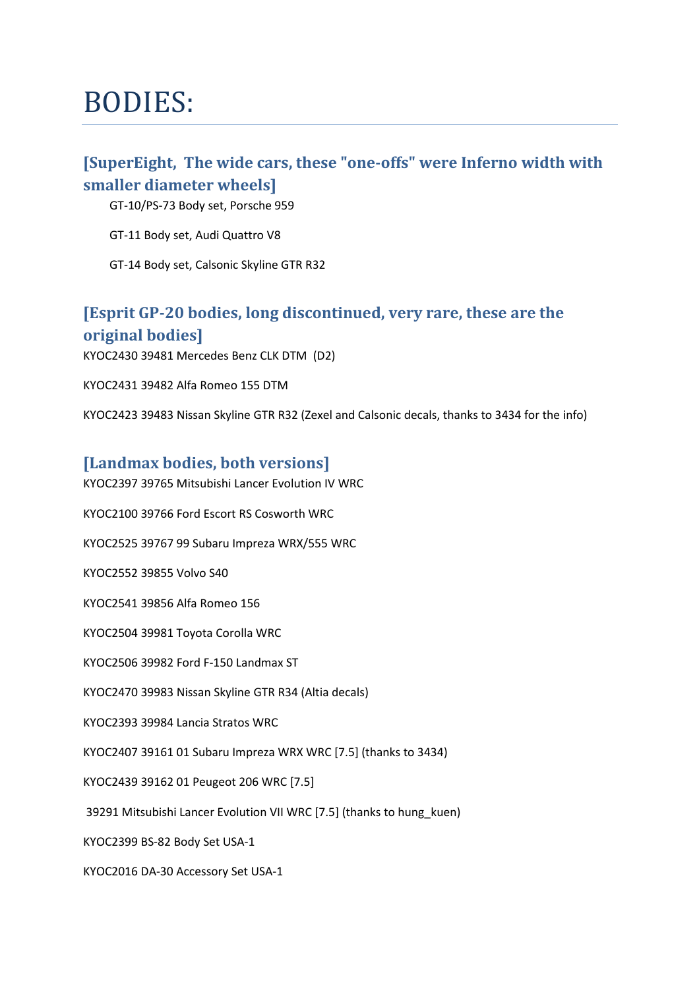### BODIES:

#### [SuperEight, The wide cars, these "one-offs" were Inferno width with smaller diameter wheels]

GT-10/PS-73 Body set, Porsche 959

GT-11 Body set, Audi Quattro V8

GT-14 Body set, Calsonic Skyline GTR R32

#### [Esprit GP-20 bodies, long discontinued, very rare, these are the original bodies]

KYOC2430 39481 Mercedes Benz CLK DTM (D2)

KYOC2431 39482 Alfa Romeo 155 DTM

KYOC2423 39483 Nissan Skyline GTR R32 (Zexel and Calsonic decals, thanks to 3434 for the info)

#### [Landmax bodies, both versions]

KYOC2397 39765 Mitsubishi Lancer Evolution IV WRC

KYOC2100 39766 Ford Escort RS Cosworth WRC

KYOC2525 39767 99 Subaru Impreza WRX/555 WRC

KYOC2552 39855 Volvo S40

KYOC2541 39856 Alfa Romeo 156

KYOC2504 39981 Toyota Corolla WRC

KYOC2506 39982 Ford F-150 Landmax ST

KYOC2470 39983 Nissan Skyline GTR R34 (Altia decals)

KYOC2393 39984 Lancia Stratos WRC

KYOC2407 39161 01 Subaru Impreza WRX WRC [7.5] (thanks to 3434)

KYOC2439 39162 01 Peugeot 206 WRC [7.5]

39291 Mitsubishi Lancer Evolution VII WRC [7.5] (thanks to hung\_kuen)

KYOC2399 BS-82 Body Set USA-1

KYOC2016 DA-30 Accessory Set USA-1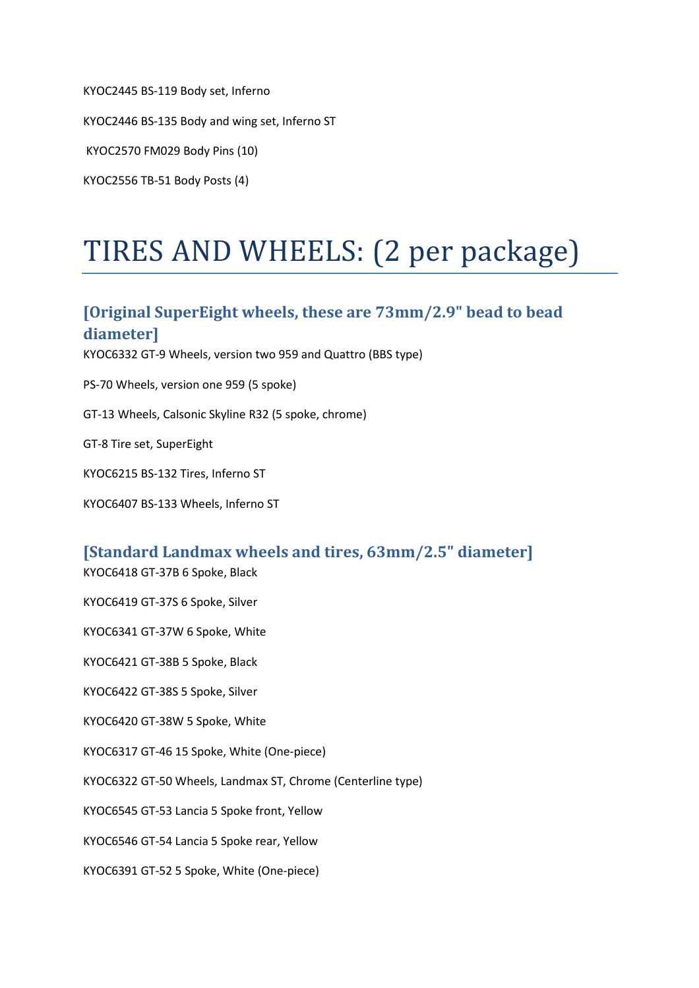KYOC2445 BS-119 Body set, Inferno

KYOC2446 BS-135 Body and wing set, Inferno ST

KYOC2570 FM029 Body Pins (10)

KYOC2556 TB-51 Body Posts (4)

### TIRES AND WHEELS: (2 per package)

#### [Original SuperEight wheels, these are 73mm/2.9" bead to bead diameter]

KYOC6332 GT-9 Wheels, version two 959 and Quattro (BBS type)

PS-70 Wheels, version one 959 (5 spoke)

GT-13 Wheels, Calsonic Skyline R32 (5 spoke, chrome)

GT-8 Tire set, SuperEight

KYOC6215 BS-132 Tires, Inferno ST

KYOC6407 BS-133 Wheels, Inferno ST

#### [Standard Landmax wheels and tires, 63mm/2.5" diameter]

KYOC6418 GT-37B 6 Spoke, Black

KYOC6419 GT-37S 6 Spoke, Silver

KYOC6341 GT-37W 6 Spoke, White

KYOC6421 GT-38B 5 Spoke, Black

KYOC6422 GT-38S 5 Spoke, Silver

KYOC6420 GT-38W 5 Spoke, White

KYOC6317 GT-46 15 Spoke, White (One-piece)

KYOC6322 GT-50 Wheels, Landmax ST, Chrome (Centerline type)

KYOC6545 GT-53 Lancia 5 Spoke front, Yellow

KYOC6546 GT-54 Lancia 5 Spoke rear, Yellow

KYOC6391 GT-52 5 Spoke, White (One-piece)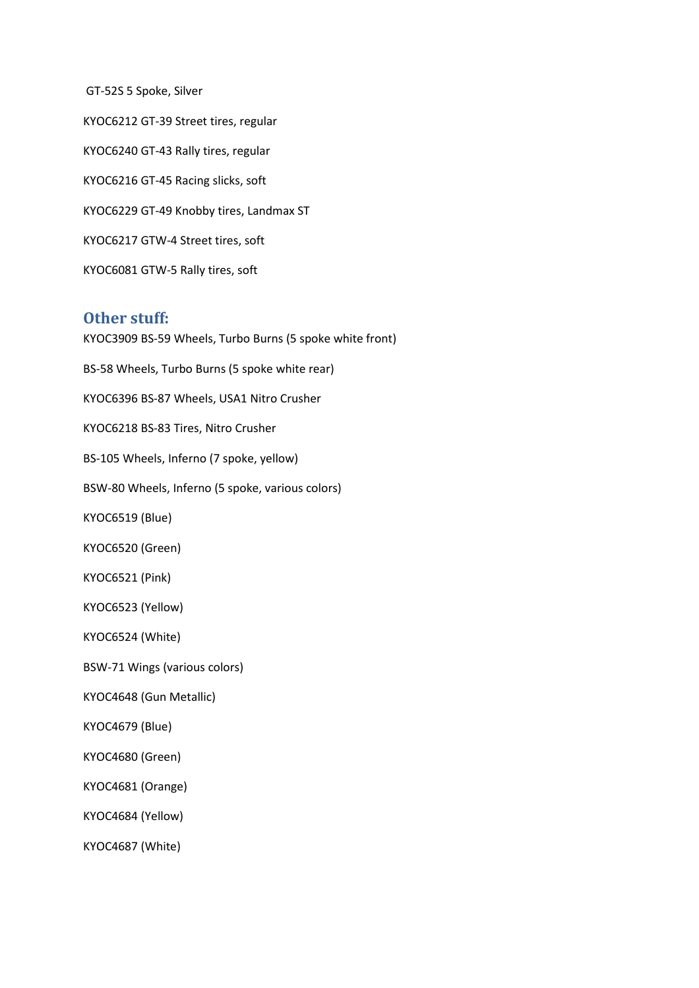GT-52S 5 Spoke, Silver KYOC6212 GT-39 Street tires, regular KYOC6240 GT-43 Rally tires, regular KYOC6216 GT-45 Racing slicks, soft KYOC6229 GT-49 Knobby tires, Landmax ST KYOC6217 GTW-4 Street tires, soft KYOC6081 GTW-5 Rally tires, soft

#### Other stuff:

KYOC3909 BS-59 Wheels, Turbo Burns (5 spoke white front) BS-58 Wheels, Turbo Burns (5 spoke white rear) KYOC6396 BS-87 Wheels, USA1 Nitro Crusher KYOC6218 BS-83 Tires, Nitro Crusher BS-105 Wheels, Inferno (7 spoke, yellow) BSW-80 Wheels, Inferno (5 spoke, various colors) KYOC6519 (Blue) KYOC6520 (Green) KYOC6521 (Pink) KYOC6523 (Yellow) KYOC6524 (White) BSW-71 Wings (various colors) KYOC4648 (Gun Metallic) KYOC4679 (Blue) KYOC4680 (Green) KYOC4681 (Orange) KYOC4684 (Yellow) KYOC4687 (White)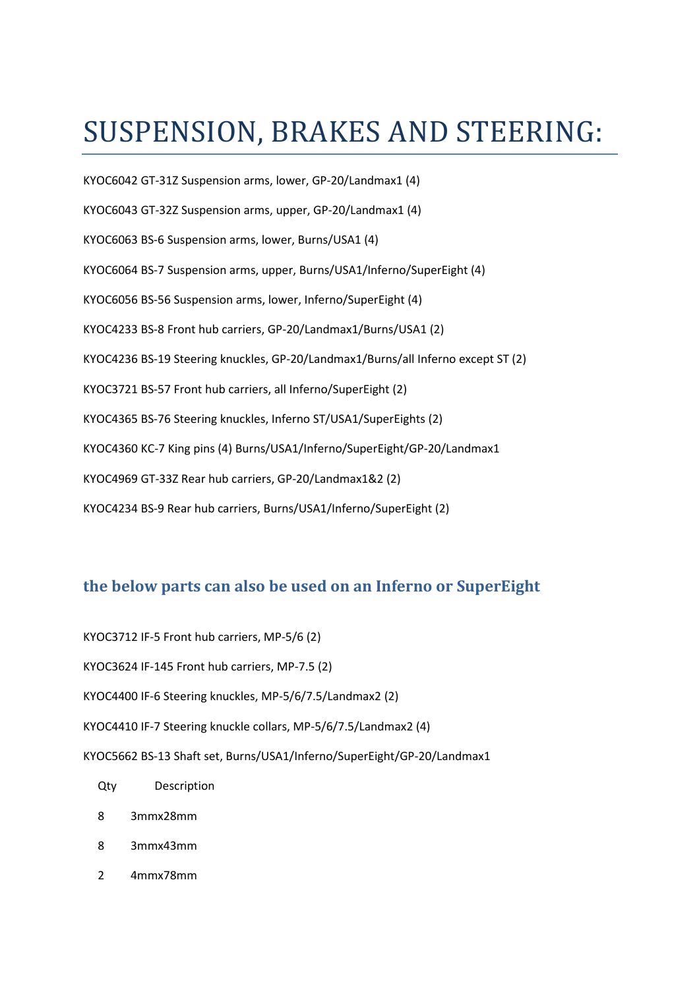## SUSPENSION, BRAKES AND STEERING:

KYOC6042 GT-31Z Suspension arms, lower, GP-20/Landmax1 (4) KYOC6043 GT-32Z Suspension arms, upper, GP-20/Landmax1 (4) KYOC6063 BS-6 Suspension arms, lower, Burns/USA1 (4) KYOC6064 BS-7 Suspension arms, upper, Burns/USA1/Inferno/SuperEight (4) KYOC6056 BS-56 Suspension arms, lower, Inferno/SuperEight (4) KYOC4233 BS-8 Front hub carriers, GP-20/Landmax1/Burns/USA1 (2) KYOC4236 BS-19 Steering knuckles, GP-20/Landmax1/Burns/all Inferno except ST (2) KYOC3721 BS-57 Front hub carriers, all Inferno/SuperEight (2) KYOC4365 BS-76 Steering knuckles, Inferno ST/USA1/SuperEights (2) KYOC4360 KC-7 King pins (4) Burns/USA1/Inferno/SuperEight/GP-20/Landmax1 KYOC4969 GT-33Z Rear hub carriers, GP-20/Landmax1&2 (2) KYOC4234 BS-9 Rear hub carriers, Burns/USA1/Inferno/SuperEight (2)

#### the below parts can also be used on an Inferno or SuperEight

KYOC3712 IF-5 Front hub carriers, MP-5/6 (2)

KYOC3624 IF-145 Front hub carriers, MP-7.5 (2)

KYOC4400 IF-6 Steering knuckles, MP-5/6/7.5/Landmax2 (2)

KYOC4410 IF-7 Steering knuckle collars, MP-5/6/7.5/Landmax2 (4)

KYOC5662 BS-13 Shaft set, Burns/USA1/Inferno/SuperEight/GP-20/Landmax1

- Qty Description
- 8 3mmx28mm
- 8 3mmx43mm
- 2 4mmx78mm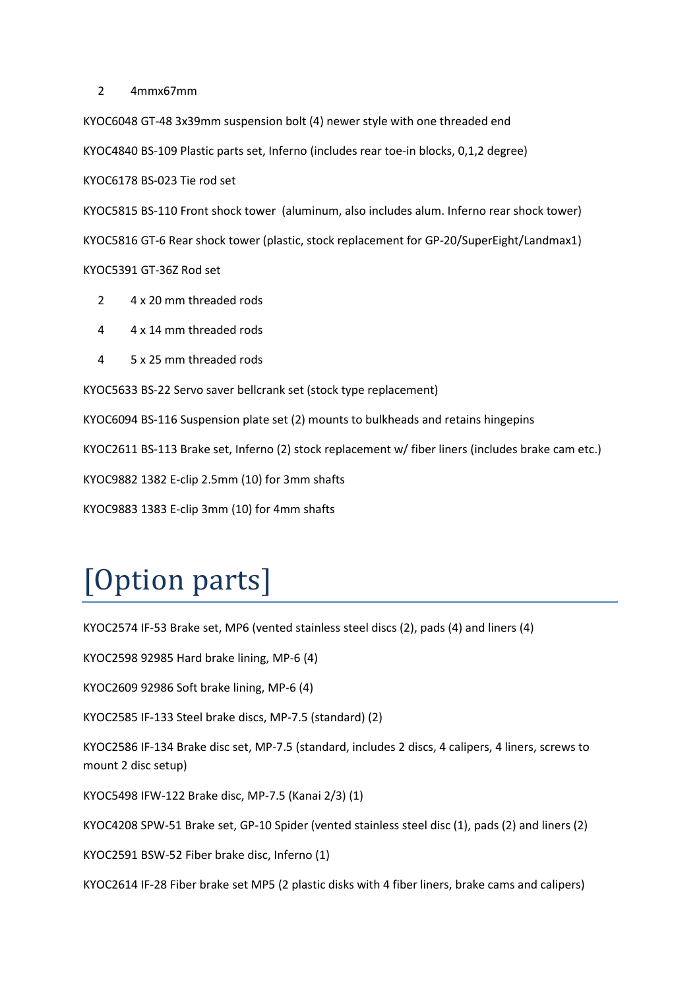2 4mmx67mm

KYOC6048 GT-48 3x39mm suspension bolt (4) newer style with one threaded end KYOC4840 BS-109 Plastic parts set, Inferno (includes rear toe-in blocks, 0,1,2 degree) KYOC6178 BS-023 Tie rod set

KYOC5815 BS-110 Front shock tower (aluminum, also includes alum. Inferno rear shock tower) KYOC5816 GT-6 Rear shock tower (plastic, stock replacement for GP-20/SuperEight/Landmax1) KYOC5391 GT-36Z Rod set

- 2 4 x 20 mm threaded rods
- 4 4 x 14 mm threaded rods
- 4 5 x 25 mm threaded rods

KYOC5633 BS-22 Servo saver bellcrank set (stock type replacement)

KYOC6094 BS-116 Suspension plate set (2) mounts to bulkheads and retains hingepins

KYOC2611 BS-113 Brake set, Inferno (2) stock replacement w/ fiber liners (includes brake cam etc.)

KYOC9882 1382 E-clip 2.5mm (10) for 3mm shafts

KYOC9883 1383 E-clip 3mm (10) for 4mm shafts

# [Option parts]

KYOC2574 IF-53 Brake set, MP6 (vented stainless steel discs (2), pads (4) and liners (4)

KYOC2598 92985 Hard brake lining, MP-6 (4)

KYOC2609 92986 Soft brake lining, MP-6 (4)

KYOC2585 IF-133 Steel brake discs, MP-7.5 (standard) (2)

KYOC2586 IF-134 Brake disc set, MP-7.5 (standard, includes 2 discs, 4 calipers, 4 liners, screws to mount 2 disc setup)

KYOC5498 IFW-122 Brake disc, MP-7.5 (Kanai 2/3) (1)

KYOC4208 SPW-51 Brake set, GP-10 Spider (vented stainless steel disc (1), pads (2) and liners (2)

KYOC2591 BSW-52 Fiber brake disc, Inferno (1)

KYOC2614 IF-28 Fiber brake set MP5 (2 plastic disks with 4 fiber liners, brake cams and calipers)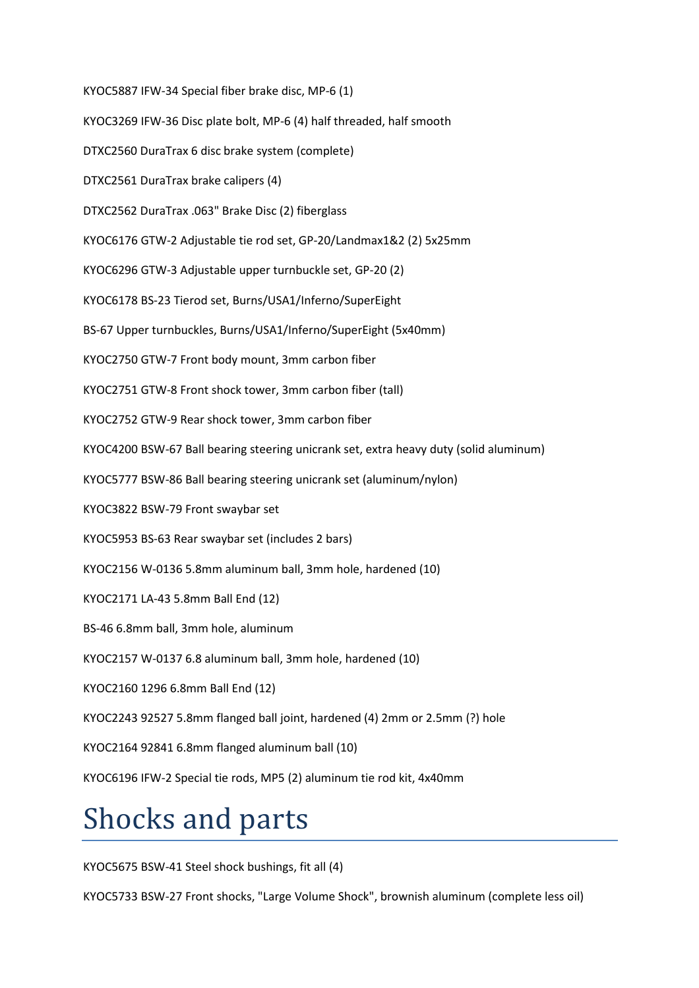KYOC5887 IFW-34 Special fiber brake disc, MP-6 (1)

KYOC3269 IFW-36 Disc plate bolt, MP-6 (4) half threaded, half smooth

DTXC2560 DuraTrax 6 disc brake system (complete)

DTXC2561 DuraTrax brake calipers (4)

DTXC2562 DuraTrax .063" Brake Disc (2) fiberglass

KYOC6176 GTW-2 Adjustable tie rod set, GP-20/Landmax1&2 (2) 5x25mm

KYOC6296 GTW-3 Adjustable upper turnbuckle set, GP-20 (2)

KYOC6178 BS-23 Tierod set, Burns/USA1/Inferno/SuperEight

BS-67 Upper turnbuckles, Burns/USA1/Inferno/SuperEight (5x40mm)

KYOC2750 GTW-7 Front body mount, 3mm carbon fiber

KYOC2751 GTW-8 Front shock tower, 3mm carbon fiber (tall)

KYOC2752 GTW-9 Rear shock tower, 3mm carbon fiber

KYOC4200 BSW-67 Ball bearing steering unicrank set, extra heavy duty (solid aluminum)

KYOC5777 BSW-86 Ball bearing steering unicrank set (aluminum/nylon)

KYOC3822 BSW-79 Front swaybar set

KYOC5953 BS-63 Rear swaybar set (includes 2 bars)

KYOC2156 W-0136 5.8mm aluminum ball, 3mm hole, hardened (10)

KYOC2171 LA-43 5.8mm Ball End (12)

BS-46 6.8mm ball, 3mm hole, aluminum

KYOC2157 W-0137 6.8 aluminum ball, 3mm hole, hardened (10)

KYOC2160 1296 6.8mm Ball End (12)

KYOC2243 92527 5.8mm flanged ball joint, hardened (4) 2mm or 2.5mm (?) hole

KYOC2164 92841 6.8mm flanged aluminum ball (10)

KYOC6196 IFW-2 Special tie rods, MP5 (2) aluminum tie rod kit, 4x40mm

## Shocks and parts

KYOC5675 BSW-41 Steel shock bushings, fit all (4)

KYOC5733 BSW-27 Front shocks, "Large Volume Shock", brownish aluminum (complete less oil)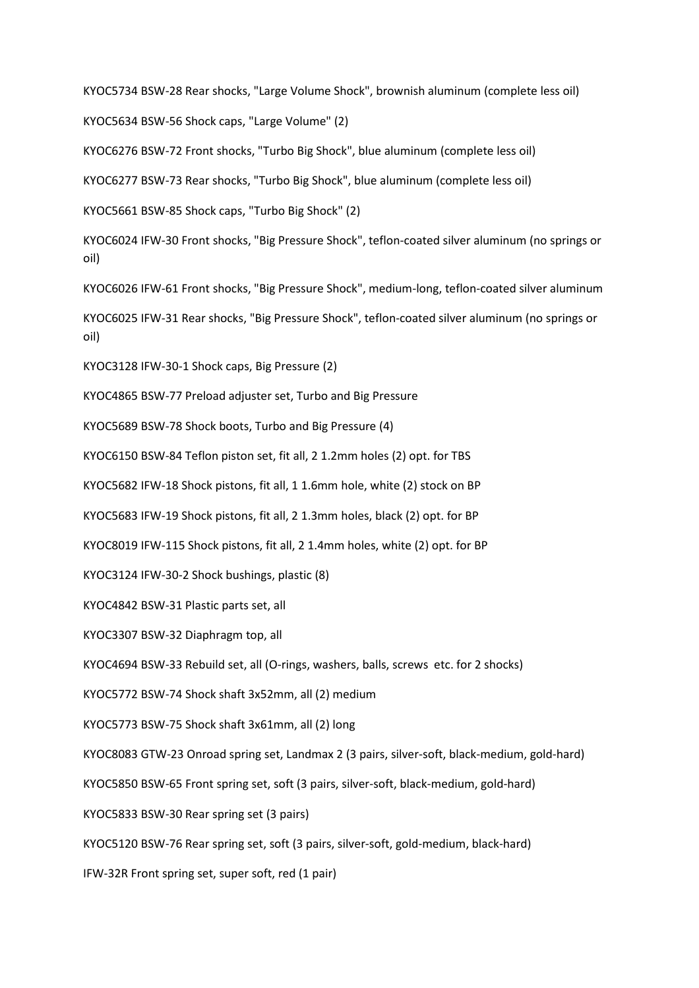KYOC5734 BSW-28 Rear shocks, "Large Volume Shock", brownish aluminum (complete less oil)

KYOC5634 BSW-56 Shock caps, "Large Volume" (2)

KYOC6276 BSW-72 Front shocks, "Turbo Big Shock", blue aluminum (complete less oil)

KYOC6277 BSW-73 Rear shocks, "Turbo Big Shock", blue aluminum (complete less oil)

KYOC5661 BSW-85 Shock caps, "Turbo Big Shock" (2)

KYOC6024 IFW-30 Front shocks, "Big Pressure Shock", teflon-coated silver aluminum (no springs or oil)

KYOC6026 IFW-61 Front shocks, "Big Pressure Shock", medium-long, teflon-coated silver aluminum

KYOC6025 IFW-31 Rear shocks, "Big Pressure Shock", teflon-coated silver aluminum (no springs or oil)

KYOC3128 IFW-30-1 Shock caps, Big Pressure (2)

KYOC4865 BSW-77 Preload adjuster set, Turbo and Big Pressure

KYOC5689 BSW-78 Shock boots, Turbo and Big Pressure (4)

KYOC6150 BSW-84 Teflon piston set, fit all, 2 1.2mm holes (2) opt. for TBS

KYOC5682 IFW-18 Shock pistons, fit all, 1 1.6mm hole, white (2) stock on BP

KYOC5683 IFW-19 Shock pistons, fit all, 2 1.3mm holes, black (2) opt. for BP

KYOC8019 IFW-115 Shock pistons, fit all, 2 1.4mm holes, white (2) opt. for BP

KYOC3124 IFW-30-2 Shock bushings, plastic (8)

KYOC4842 BSW-31 Plastic parts set, all

KYOC3307 BSW-32 Diaphragm top, all

KYOC4694 BSW-33 Rebuild set, all (O-rings, washers, balls, screws etc. for 2 shocks)

KYOC5772 BSW-74 Shock shaft 3x52mm, all (2) medium

KYOC5773 BSW-75 Shock shaft 3x61mm, all (2) long

KYOC8083 GTW-23 Onroad spring set, Landmax 2 (3 pairs, silver-soft, black-medium, gold-hard)

KYOC5850 BSW-65 Front spring set, soft (3 pairs, silver-soft, black-medium, gold-hard)

KYOC5833 BSW-30 Rear spring set (3 pairs)

KYOC5120 BSW-76 Rear spring set, soft (3 pairs, silver-soft, gold-medium, black-hard)

IFW-32R Front spring set, super soft, red (1 pair)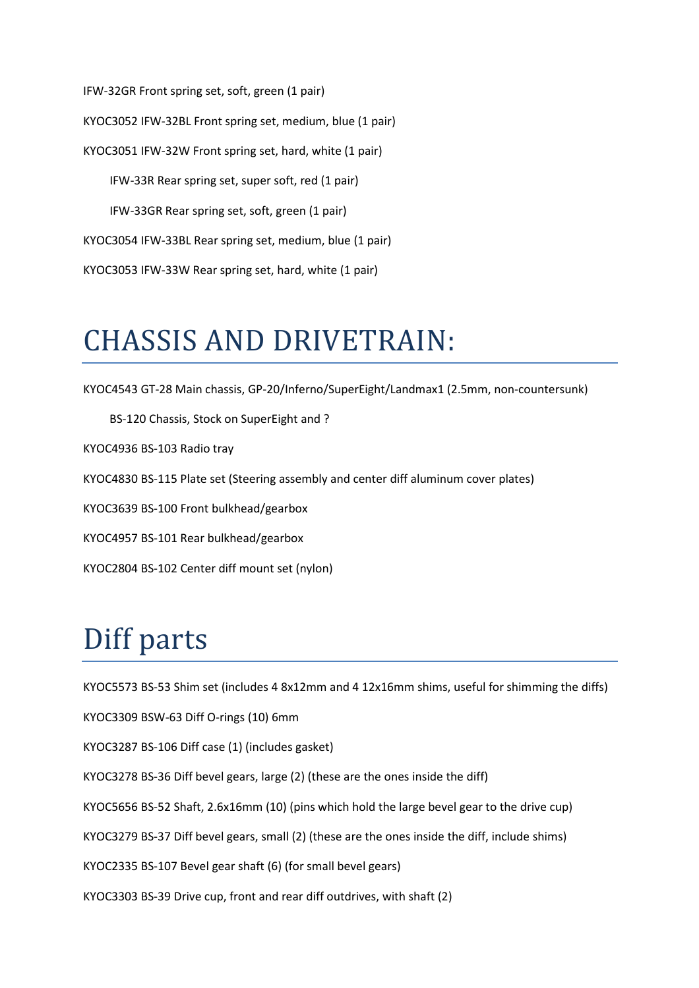IFW-32GR Front spring set, soft, green (1 pair) KYOC3052 IFW-32BL Front spring set, medium, blue (1 pair) KYOC3051 IFW-32W Front spring set, hard, white (1 pair) IFW-33R Rear spring set, super soft, red (1 pair) IFW-33GR Rear spring set, soft, green (1 pair) KYOC3054 IFW-33BL Rear spring set, medium, blue (1 pair) KYOC3053 IFW-33W Rear spring set, hard, white (1 pair)

#### CHASSIS AND DRIVETRAIN:

KYOC4543 GT-28 Main chassis, GP-20/Inferno/SuperEight/Landmax1 (2.5mm, non-countersunk)

 BS-120 Chassis, Stock on SuperEight and ? KYOC4936 BS-103 Radio tray KYOC4830 BS-115 Plate set (Steering assembly and center diff aluminum cover plates) KYOC3639 BS-100 Front bulkhead/gearbox KYOC4957 BS-101 Rear bulkhead/gearbox KYOC2804 BS-102 Center diff mount set (nylon)

# Diff parts

KYOC5573 BS-53 Shim set (includes 4 8x12mm and 4 12x16mm shims, useful for shimming the diffs)

KYOC3309 BSW-63 Diff O-rings (10) 6mm

KYOC3287 BS-106 Diff case (1) (includes gasket)

KYOC3278 BS-36 Diff bevel gears, large (2) (these are the ones inside the diff)

KYOC5656 BS-52 Shaft, 2.6x16mm (10) (pins which hold the large bevel gear to the drive cup)

KYOC3279 BS-37 Diff bevel gears, small (2) (these are the ones inside the diff, include shims)

KYOC2335 BS-107 Bevel gear shaft (6) (for small bevel gears)

KYOC3303 BS-39 Drive cup, front and rear diff outdrives, with shaft (2)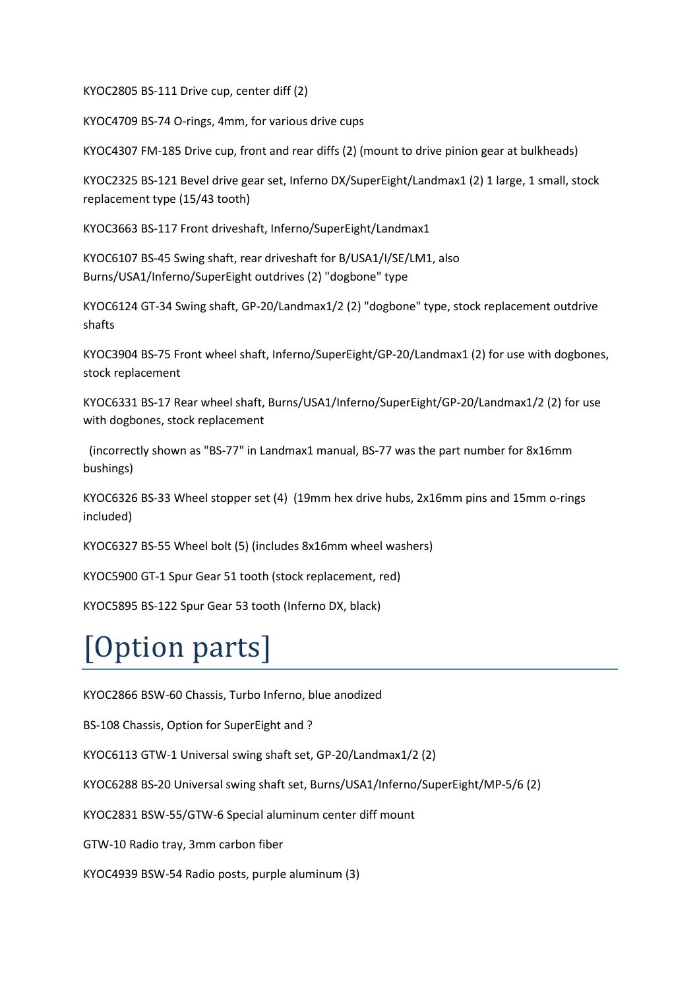KYOC2805 BS-111 Drive cup, center diff (2)

KYOC4709 BS-74 O-rings, 4mm, for various drive cups

KYOC4307 FM-185 Drive cup, front and rear diffs (2) (mount to drive pinion gear at bulkheads)

KYOC2325 BS-121 Bevel drive gear set, Inferno DX/SuperEight/Landmax1 (2) 1 large, 1 small, stock replacement type (15/43 tooth)

KYOC3663 BS-117 Front driveshaft, Inferno/SuperEight/Landmax1

KYOC6107 BS-45 Swing shaft, rear driveshaft for B/USA1/I/SE/LM1, also Burns/USA1/Inferno/SuperEight outdrives (2) "dogbone" type

KYOC6124 GT-34 Swing shaft, GP-20/Landmax1/2 (2) "dogbone" type, stock replacement outdrive shafts

KYOC3904 BS-75 Front wheel shaft, Inferno/SuperEight/GP-20/Landmax1 (2) for use with dogbones, stock replacement

KYOC6331 BS-17 Rear wheel shaft, Burns/USA1/Inferno/SuperEight/GP-20/Landmax1/2 (2) for use with dogbones, stock replacement

 (incorrectly shown as "BS-77" in Landmax1 manual, BS-77 was the part number for 8x16mm bushings)

KYOC6326 BS-33 Wheel stopper set (4) (19mm hex drive hubs, 2x16mm pins and 15mm o-rings included)

KYOC6327 BS-55 Wheel bolt (5) (includes 8x16mm wheel washers)

KYOC5900 GT-1 Spur Gear 51 tooth (stock replacement, red)

KYOC5895 BS-122 Spur Gear 53 tooth (Inferno DX, black)

## [Option parts]

KYOC2866 BSW-60 Chassis, Turbo Inferno, blue anodized

BS-108 Chassis, Option for SuperEight and ?

KYOC6113 GTW-1 Universal swing shaft set, GP-20/Landmax1/2 (2)

KYOC6288 BS-20 Universal swing shaft set, Burns/USA1/Inferno/SuperEight/MP-5/6 (2)

KYOC2831 BSW-55/GTW-6 Special aluminum center diff mount

GTW-10 Radio tray, 3mm carbon fiber

KYOC4939 BSW-54 Radio posts, purple aluminum (3)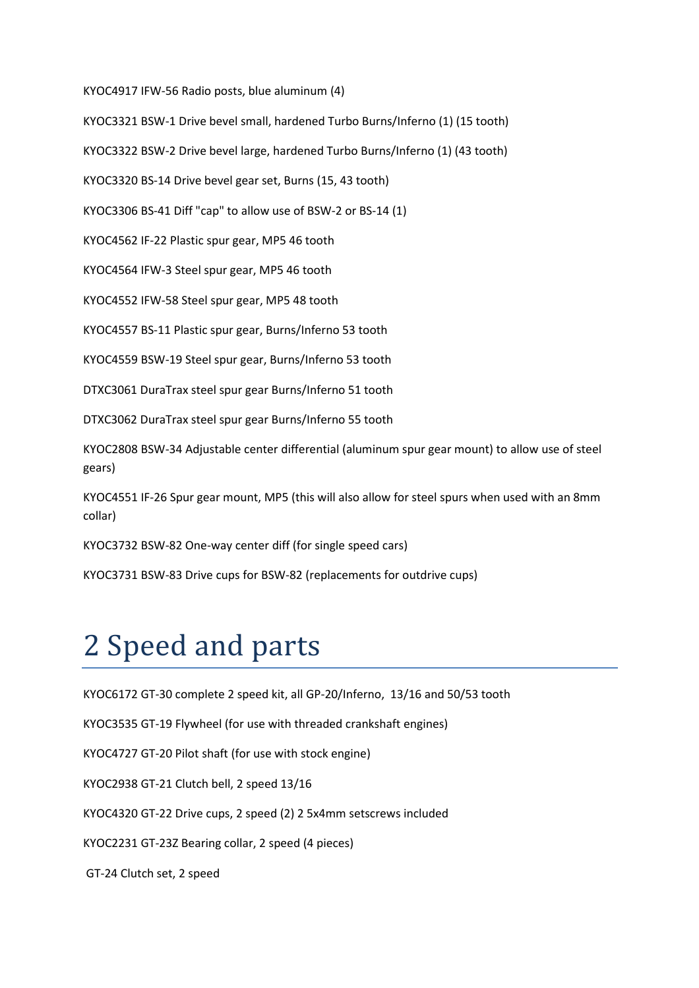KYOC4917 IFW-56 Radio posts, blue aluminum (4)

KYOC3321 BSW-1 Drive bevel small, hardened Turbo Burns/Inferno (1) (15 tooth)

KYOC3322 BSW-2 Drive bevel large, hardened Turbo Burns/Inferno (1) (43 tooth)

KYOC3320 BS-14 Drive bevel gear set, Burns (15, 43 tooth)

KYOC3306 BS-41 Diff "cap" to allow use of BSW-2 or BS-14 (1)

KYOC4562 IF-22 Plastic spur gear, MP5 46 tooth

KYOC4564 IFW-3 Steel spur gear, MP5 46 tooth

KYOC4552 IFW-58 Steel spur gear, MP5 48 tooth

KYOC4557 BS-11 Plastic spur gear, Burns/Inferno 53 tooth

KYOC4559 BSW-19 Steel spur gear, Burns/Inferno 53 tooth

DTXC3061 DuraTrax steel spur gear Burns/Inferno 51 tooth

DTXC3062 DuraTrax steel spur gear Burns/Inferno 55 tooth

KYOC2808 BSW-34 Adjustable center differential (aluminum spur gear mount) to allow use of steel gears)

KYOC4551 IF-26 Spur gear mount, MP5 (this will also allow for steel spurs when used with an 8mm collar)

KYOC3732 BSW-82 One-way center diff (for single speed cars)

KYOC3731 BSW-83 Drive cups for BSW-82 (replacements for outdrive cups)

### 2 Speed and parts

KYOC6172 GT-30 complete 2 speed kit, all GP-20/Inferno, 13/16 and 50/53 tooth

KYOC3535 GT-19 Flywheel (for use with threaded crankshaft engines)

KYOC4727 GT-20 Pilot shaft (for use with stock engine)

KYOC2938 GT-21 Clutch bell, 2 speed 13/16

KYOC4320 GT-22 Drive cups, 2 speed (2) 2 5x4mm setscrews included

KYOC2231 GT-23Z Bearing collar, 2 speed (4 pieces)

GT-24 Clutch set, 2 speed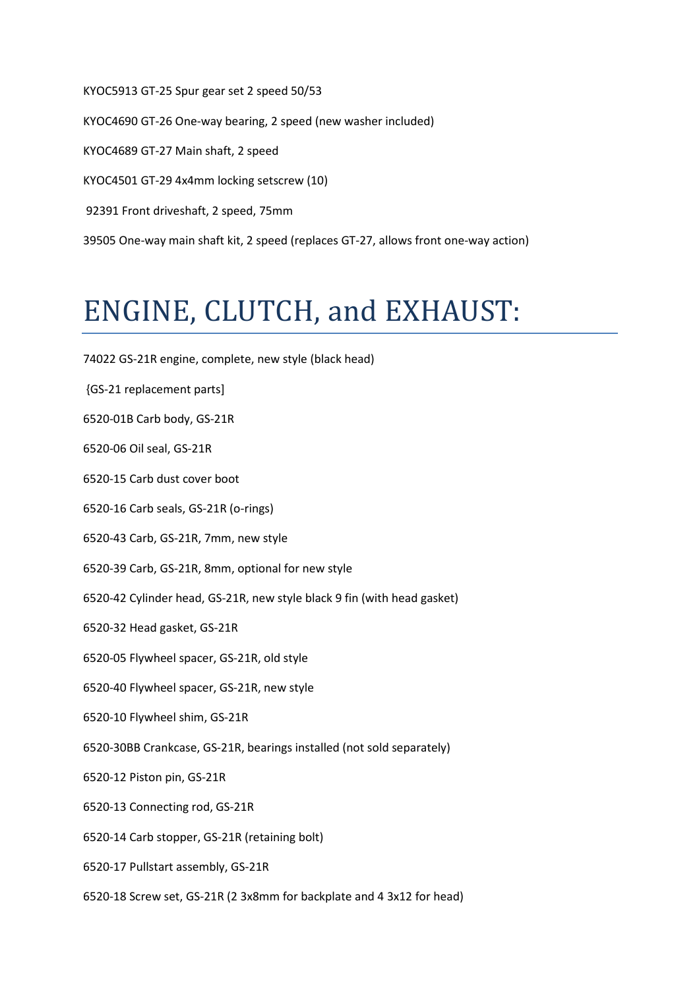KYOC5913 GT-25 Spur gear set 2 speed 50/53 KYOC4690 GT-26 One-way bearing, 2 speed (new washer included) KYOC4689 GT-27 Main shaft, 2 speed KYOC4501 GT-29 4x4mm locking setscrew (10) 92391 Front driveshaft, 2 speed, 75mm 39505 One-way main shaft kit, 2 speed (replaces GT-27, allows front one-way action)

## ENGINE, CLUTCH, and EXHAUST:

- 74022 GS-21R engine, complete, new style (black head)
- {GS-21 replacement parts]
- 6520-01B Carb body, GS-21R
- 6520-06 Oil seal, GS-21R
- 6520-15 Carb dust cover boot
- 6520-16 Carb seals, GS-21R (o-rings)
- 6520-43 Carb, GS-21R, 7mm, new style
- 6520-39 Carb, GS-21R, 8mm, optional for new style
- 6520-42 Cylinder head, GS-21R, new style black 9 fin (with head gasket)
- 6520-32 Head gasket, GS-21R
- 6520-05 Flywheel spacer, GS-21R, old style
- 6520-40 Flywheel spacer, GS-21R, new style
- 6520-10 Flywheel shim, GS-21R
- 6520-30BB Crankcase, GS-21R, bearings installed (not sold separately)
- 6520-12 Piston pin, GS-21R
- 6520-13 Connecting rod, GS-21R
- 6520-14 Carb stopper, GS-21R (retaining bolt)
- 6520-17 Pullstart assembly, GS-21R
- 6520-18 Screw set, GS-21R (2 3x8mm for backplate and 4 3x12 for head)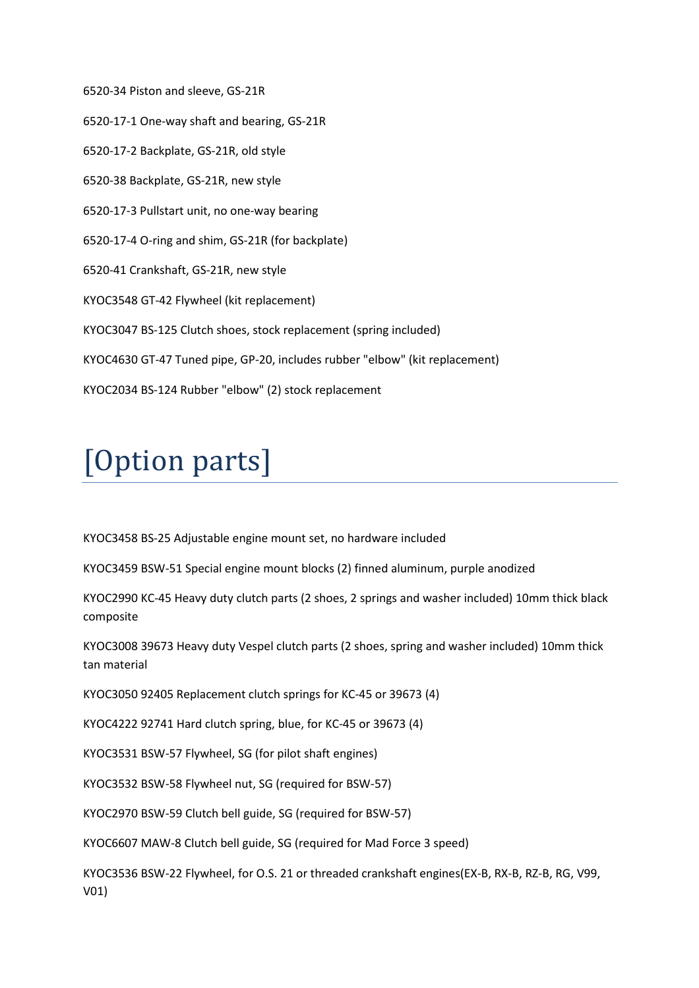6520-34 Piston and sleeve, GS-21R 6520-17-1 One-way shaft and bearing, GS-21R 6520-17-2 Backplate, GS-21R, old style 6520-38 Backplate, GS-21R, new style 6520-17-3 Pullstart unit, no one-way bearing 6520-17-4 O-ring and shim, GS-21R (for backplate) 6520-41 Crankshaft, GS-21R, new style KYOC3548 GT-42 Flywheel (kit replacement) KYOC3047 BS-125 Clutch shoes, stock replacement (spring included) KYOC4630 GT-47 Tuned pipe, GP-20, includes rubber "elbow" (kit replacement) KYOC2034 BS-124 Rubber "elbow" (2) stock replacement

# [Option parts]

KYOC3458 BS-25 Adjustable engine mount set, no hardware included

KYOC3459 BSW-51 Special engine mount blocks (2) finned aluminum, purple anodized

KYOC2990 KC-45 Heavy duty clutch parts (2 shoes, 2 springs and washer included) 10mm thick black composite

KYOC3008 39673 Heavy duty Vespel clutch parts (2 shoes, spring and washer included) 10mm thick tan material

KYOC3050 92405 Replacement clutch springs for KC-45 or 39673 (4)

KYOC4222 92741 Hard clutch spring, blue, for KC-45 or 39673 (4)

KYOC3531 BSW-57 Flywheel, SG (for pilot shaft engines)

KYOC3532 BSW-58 Flywheel nut, SG (required for BSW-57)

KYOC2970 BSW-59 Clutch bell guide, SG (required for BSW-57)

KYOC6607 MAW-8 Clutch bell guide, SG (required for Mad Force 3 speed)

KYOC3536 BSW-22 Flywheel, for O.S. 21 or threaded crankshaft engines(EX-B, RX-B, RZ-B, RG, V99, V01)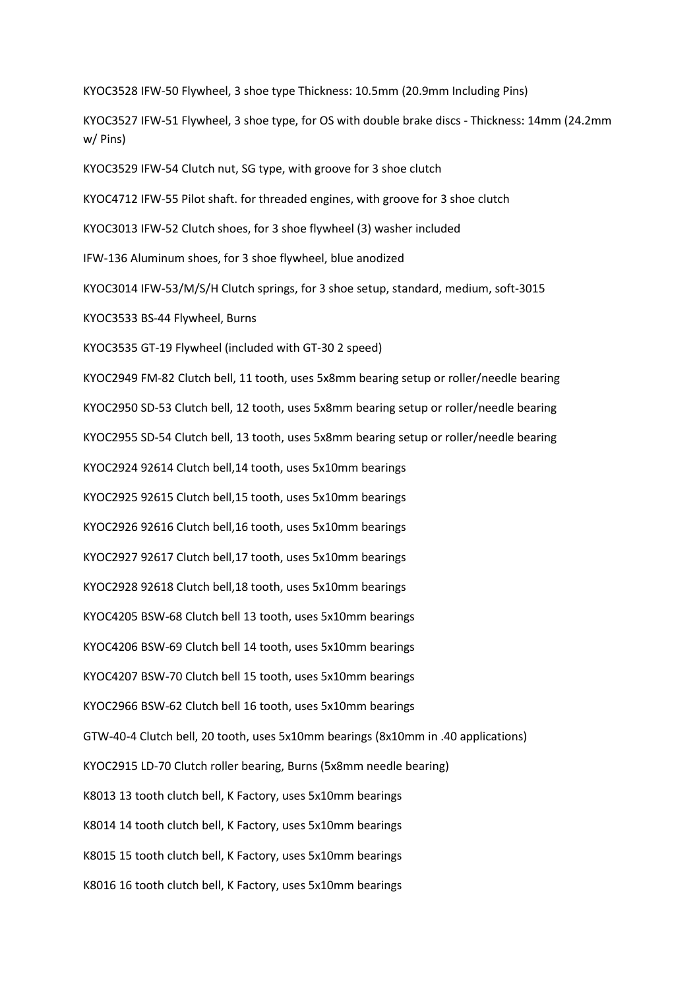KYOC3528 IFW-50 Flywheel, 3 shoe type Thickness: 10.5mm (20.9mm Including Pins)

KYOC3527 IFW-51 Flywheel, 3 shoe type, for OS with double brake discs - Thickness: 14mm (24.2mm w/ Pins)

KYOC3529 IFW-54 Clutch nut, SG type, with groove for 3 shoe clutch

KYOC4712 IFW-55 Pilot shaft. for threaded engines, with groove for 3 shoe clutch

KYOC3013 IFW-52 Clutch shoes, for 3 shoe flywheel (3) washer included

IFW-136 Aluminum shoes, for 3 shoe flywheel, blue anodized

KYOC3014 IFW-53/M/S/H Clutch springs, for 3 shoe setup, standard, medium, soft-3015

KYOC3533 BS-44 Flywheel, Burns

KYOC3535 GT-19 Flywheel (included with GT-30 2 speed)

KYOC2949 FM-82 Clutch bell, 11 tooth, uses 5x8mm bearing setup or roller/needle bearing KYOC2950 SD-53 Clutch bell, 12 tooth, uses 5x8mm bearing setup or roller/needle bearing KYOC2955 SD-54 Clutch bell, 13 tooth, uses 5x8mm bearing setup or roller/needle bearing KYOC2924 92614 Clutch bell,14 tooth, uses 5x10mm bearings KYOC2925 92615 Clutch bell,15 tooth, uses 5x10mm bearings KYOC2926 92616 Clutch bell,16 tooth, uses 5x10mm bearings KYOC2927 92617 Clutch bell,17 tooth, uses 5x10mm bearings KYOC2928 92618 Clutch bell,18 tooth, uses 5x10mm bearings KYOC4205 BSW-68 Clutch bell 13 tooth, uses 5x10mm bearings KYOC4206 BSW-69 Clutch bell 14 tooth, uses 5x10mm bearings KYOC4207 BSW-70 Clutch bell 15 tooth, uses 5x10mm bearings KYOC2966 BSW-62 Clutch bell 16 tooth, uses 5x10mm bearings GTW-40-4 Clutch bell, 20 tooth, uses 5x10mm bearings (8x10mm in .40 applications) KYOC2915 LD-70 Clutch roller bearing, Burns (5x8mm needle bearing) K8013 13 tooth clutch bell, K Factory, uses 5x10mm bearings K8014 14 tooth clutch bell, K Factory, uses 5x10mm bearings K8015 15 tooth clutch bell, K Factory, uses 5x10mm bearings K8016 16 tooth clutch bell, K Factory, uses 5x10mm bearings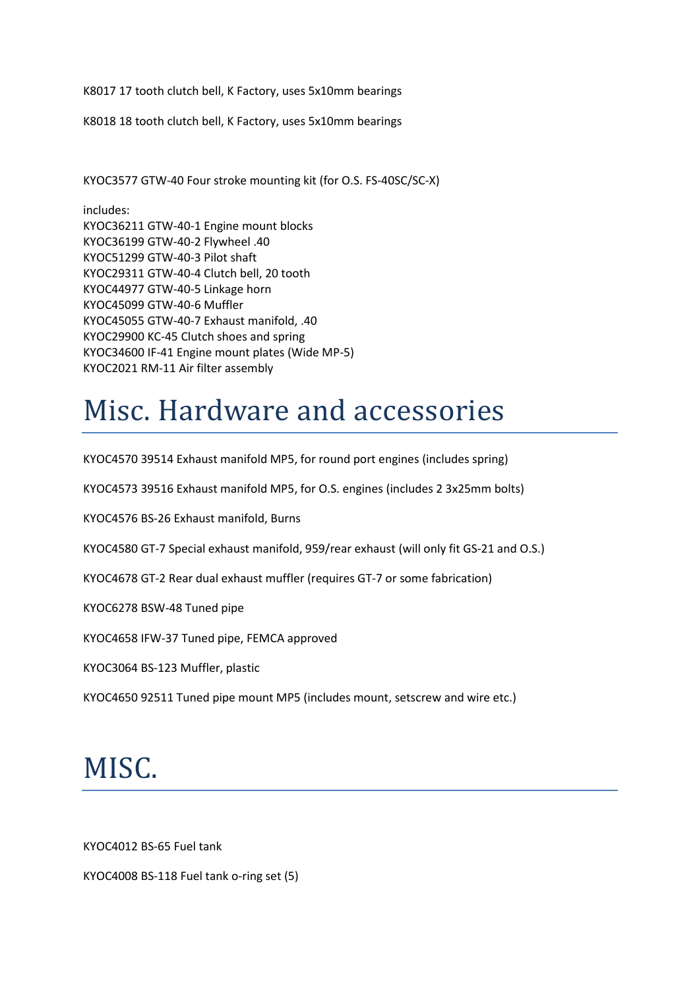K8017 17 tooth clutch bell, K Factory, uses 5x10mm bearings

K8018 18 tooth clutch bell, K Factory, uses 5x10mm bearings

KYOC3577 GTW-40 Four stroke mounting kit (for O.S. FS-40SC/SC-X)

includes: KYOC36211 GTW-40-1 Engine mount blocks KYOC36199 GTW-40-2 Flywheel .40 KYOC51299 GTW-40-3 Pilot shaft KYOC29311 GTW-40-4 Clutch bell, 20 tooth KYOC44977 GTW-40-5 Linkage horn KYOC45099 GTW-40-6 Muffler KYOC45055 GTW-40-7 Exhaust manifold, .40 KYOC29900 KC-45 Clutch shoes and spring KYOC34600 IF-41 Engine mount plates (Wide MP-5) KYOC2021 RM-11 Air filter assembly

### Misc. Hardware and accessories

KYOC4570 39514 Exhaust manifold MP5, for round port engines (includes spring)

KYOC4573 39516 Exhaust manifold MP5, for O.S. engines (includes 2 3x25mm bolts)

KYOC4576 BS-26 Exhaust manifold, Burns

KYOC4580 GT-7 Special exhaust manifold, 959/rear exhaust (will only fit GS-21 and O.S.)

KYOC4678 GT-2 Rear dual exhaust muffler (requires GT-7 or some fabrication)

KYOC6278 BSW-48 Tuned pipe

KYOC4658 IFW-37 Tuned pipe, FEMCA approved

KYOC3064 BS-123 Muffler, plastic

KYOC4650 92511 Tuned pipe mount MP5 (includes mount, setscrew and wire etc.)

#### MISC.

KYOC4012 BS-65 Fuel tank

KYOC4008 BS-118 Fuel tank o-ring set (5)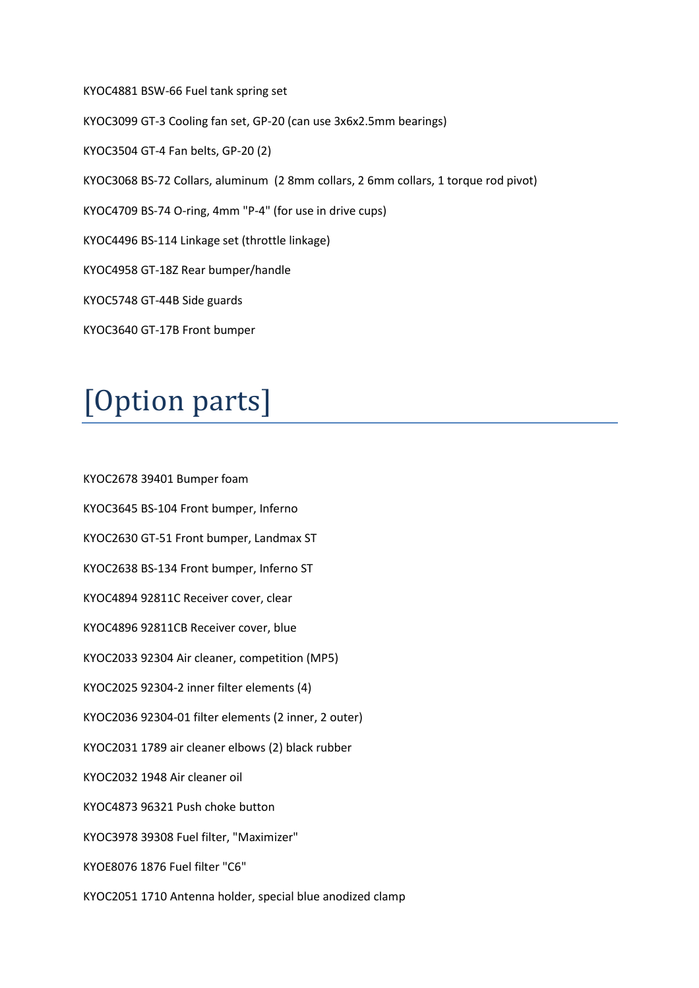KYOC4881 BSW-66 Fuel tank spring set KYOC3099 GT-3 Cooling fan set, GP-20 (can use 3x6x2.5mm bearings) KYOC3504 GT-4 Fan belts, GP-20 (2) KYOC3068 BS-72 Collars, aluminum (2 8mm collars, 2 6mm collars, 1 torque rod pivot) KYOC4709 BS-74 O-ring, 4mm "P-4" (for use in drive cups) KYOC4496 BS-114 Linkage set (throttle linkage) KYOC4958 GT-18Z Rear bumper/handle KYOC5748 GT-44B Side guards KYOC3640 GT-17B Front bumper

# [Option parts]

KYOC2678 39401 Bumper foam KYOC3645 BS-104 Front bumper, Inferno KYOC2630 GT-51 Front bumper, Landmax ST KYOC2638 BS-134 Front bumper, Inferno ST KYOC4894 92811C Receiver cover, clear KYOC4896 92811CB Receiver cover, blue KYOC2033 92304 Air cleaner, competition (MP5) KYOC2025 92304-2 inner filter elements (4) KYOC2036 92304-01 filter elements (2 inner, 2 outer) KYOC2031 1789 air cleaner elbows (2) black rubber KYOC2032 1948 Air cleaner oil KYOC4873 96321 Push choke button KYOC3978 39308 Fuel filter, "Maximizer" KYOE8076 1876 Fuel filter "C6" KYOC2051 1710 Antenna holder, special blue anodized clamp